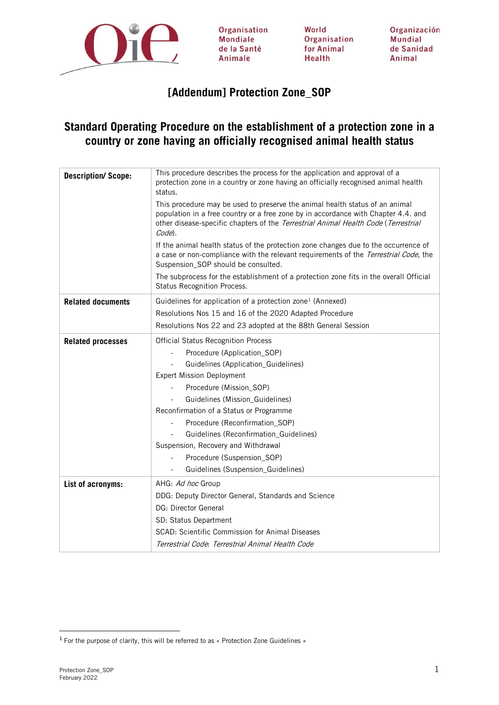

Organisation **Mondiale** de la Santé Animale

World Organisation for Animal Health

Organización Mundial de Sanidad Animal

# **[Addendum] Protection Zone\_SOP**

# **Standard Operating Procedure on the establishment of a protection zone in a country or zone having an officially recognised animal health status**

| <b>Description/Scope:</b> | This procedure describes the process for the application and approval of a<br>protection zone in a country or zone having an officially recognised animal health<br>status.<br>This procedure may be used to preserve the animal health status of an animal |  |  |  |  |
|---------------------------|-------------------------------------------------------------------------------------------------------------------------------------------------------------------------------------------------------------------------------------------------------------|--|--|--|--|
|                           | population in a free country or a free zone by in accordance with Chapter 4.4. and<br>other disease-specific chapters of the Terrestrial Animal Health Code (Terrestrial<br>Code).                                                                          |  |  |  |  |
|                           | If the animal health status of the protection zone changes due to the occurrence of<br>a case or non-compliance with the relevant requirements of the Terrestrial Code, the<br>Suspension_SOP should be consulted.                                          |  |  |  |  |
|                           | The subprocess for the establishment of a protection zone fits in the overall Official<br>Status Recognition Process.                                                                                                                                       |  |  |  |  |
| <b>Related documents</b>  | Guidelines for application of a protection zone <sup>1</sup> (Annexed)                                                                                                                                                                                      |  |  |  |  |
|                           | Resolutions Nos 15 and 16 of the 2020 Adapted Procedure                                                                                                                                                                                                     |  |  |  |  |
|                           | Resolutions Nos 22 and 23 adopted at the 88th General Session                                                                                                                                                                                               |  |  |  |  |
| <b>Related processes</b>  | <b>Official Status Recognition Process</b>                                                                                                                                                                                                                  |  |  |  |  |
|                           | Procedure (Application_SOP)                                                                                                                                                                                                                                 |  |  |  |  |
|                           | Guidelines (Application_Guidelines)                                                                                                                                                                                                                         |  |  |  |  |
|                           | <b>Expert Mission Deployment</b>                                                                                                                                                                                                                            |  |  |  |  |
|                           | Procedure (Mission SOP)                                                                                                                                                                                                                                     |  |  |  |  |
|                           | Guidelines (Mission_Guidelines)                                                                                                                                                                                                                             |  |  |  |  |
|                           | Reconfirmation of a Status or Programme                                                                                                                                                                                                                     |  |  |  |  |
|                           | Procedure (Reconfirmation_SOP)                                                                                                                                                                                                                              |  |  |  |  |
|                           | Guidelines (Reconfirmation_Guidelines)                                                                                                                                                                                                                      |  |  |  |  |
|                           | Suspension, Recovery and Withdrawal                                                                                                                                                                                                                         |  |  |  |  |
|                           | Procedure (Suspension_SOP)<br>$\overline{\phantom{a}}$<br>Guidelines (Suspension_Guidelines)                                                                                                                                                                |  |  |  |  |
| List of acronyms:         | AHG: Ad hoc Group                                                                                                                                                                                                                                           |  |  |  |  |
|                           | DDG: Deputy Director General, Standards and Science                                                                                                                                                                                                         |  |  |  |  |
|                           | DG: Director General                                                                                                                                                                                                                                        |  |  |  |  |
|                           | SD: Status Department                                                                                                                                                                                                                                       |  |  |  |  |
|                           | SCAD: Scientific Commission for Animal Diseases                                                                                                                                                                                                             |  |  |  |  |
|                           | Terrestrial Code: Terrestrial Animal Health Code                                                                                                                                                                                                            |  |  |  |  |

<span id="page-0-0"></span><sup>&</sup>lt;sup>1</sup> For the purpose of clarity, this will be referred to as « Protection Zone Guidelines »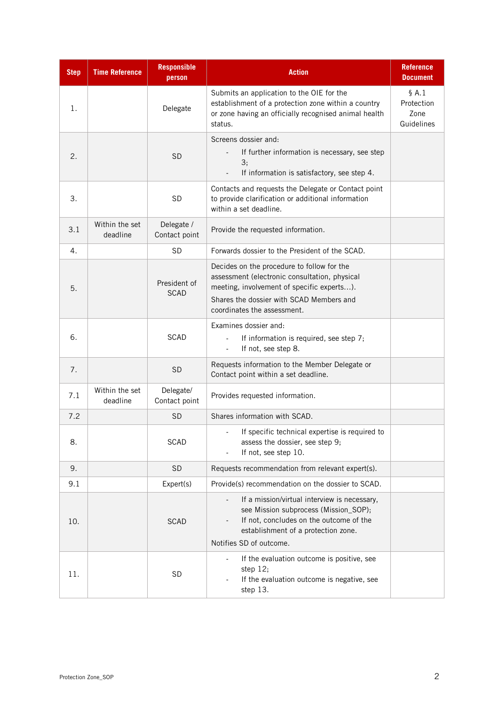| <b>Step</b> | <b>Time Reference</b>      | <b>Responsible</b><br>person | <b>Action</b>                                                                                                                                                                                                        | <b>Reference</b><br><b>Document</b>         |
|-------------|----------------------------|------------------------------|----------------------------------------------------------------------------------------------------------------------------------------------------------------------------------------------------------------------|---------------------------------------------|
| 1.          |                            | Delegate                     | Submits an application to the OIE for the<br>establishment of a protection zone within a country<br>or zone having an officially recognised animal health<br>status.                                                 | $§$ A.1<br>Protection<br>Zone<br>Guidelines |
| 2.          |                            | <b>SD</b>                    | Screens dossier and:<br>If further information is necessary, see step<br>3;<br>If information is satisfactory, see step 4.                                                                                           |                                             |
| 3.          |                            | <b>SD</b>                    | Contacts and requests the Delegate or Contact point<br>to provide clarification or additional information<br>within a set deadline.                                                                                  |                                             |
| 3.1         | Within the set<br>deadline | Delegate /<br>Contact point  | Provide the requested information.                                                                                                                                                                                   |                                             |
| 4.          |                            | <b>SD</b>                    | Forwards dossier to the President of the SCAD.                                                                                                                                                                       |                                             |
| 5.          |                            | President of<br><b>SCAD</b>  | Decides on the procedure to follow for the<br>assessment (electronic consultation, physical<br>meeting, involvement of specific experts).<br>Shares the dossier with SCAD Members and<br>coordinates the assessment. |                                             |
| 6.          |                            | <b>SCAD</b>                  | Examines dossier and:<br>If information is required, see step 7;<br>If not, see step 8.<br>$\blacksquare$                                                                                                            |                                             |
| 7.          |                            | <b>SD</b>                    | Requests information to the Member Delegate or<br>Contact point within a set deadline.                                                                                                                               |                                             |
| 7.1         | Within the set<br>deadline | Delegate/<br>Contact point   | Provides requested information.                                                                                                                                                                                      |                                             |
| 7.2         |                            | <b>SD</b>                    | Shares information with SCAD.                                                                                                                                                                                        |                                             |
| 8.          |                            | <b>SCAD</b>                  | If specific technical expertise is required to<br>assess the dossier, see step 9;<br>If not, see step 10.                                                                                                            |                                             |
| 9.          |                            | <b>SD</b>                    | Requests recommendation from relevant expert(s).                                                                                                                                                                     |                                             |
| 9.1         |                            | Expert(s)                    | Provide(s) recommendation on the dossier to SCAD.                                                                                                                                                                    |                                             |
| 10.         |                            | <b>SCAD</b>                  | If a mission/virtual interview is necessary,<br>see Mission subprocess (Mission_SOP);<br>If not, concludes on the outcome of the<br>establishment of a protection zone.<br>Notifies SD of outcome.                   |                                             |
| 11.         |                            | <b>SD</b>                    | If the evaluation outcome is positive, see<br>step $12;$<br>If the evaluation outcome is negative, see<br>step 13.                                                                                                   |                                             |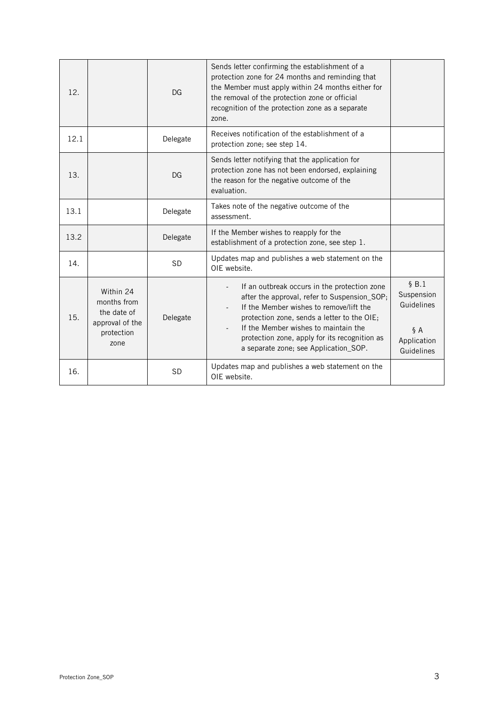| 12.  |                                                                                  | DG        | Sends letter confirming the establishment of a<br>protection zone for 24 months and reminding that<br>the Member must apply within 24 months either for<br>the removal of the protection zone or official<br>recognition of the protection zone as a separate<br>zone.                                                                               |                                                                      |
|------|----------------------------------------------------------------------------------|-----------|------------------------------------------------------------------------------------------------------------------------------------------------------------------------------------------------------------------------------------------------------------------------------------------------------------------------------------------------------|----------------------------------------------------------------------|
| 12.1 |                                                                                  | Delegate  | Receives notification of the establishment of a<br>protection zone; see step 14.                                                                                                                                                                                                                                                                     |                                                                      |
| 13.  |                                                                                  | DG        | Sends letter notifying that the application for<br>protection zone has not been endorsed, explaining<br>the reason for the negative outcome of the<br>evaluation.                                                                                                                                                                                    |                                                                      |
| 13.1 |                                                                                  | Delegate  | Takes note of the negative outcome of the<br>assessment.                                                                                                                                                                                                                                                                                             |                                                                      |
| 13.2 |                                                                                  | Delegate  | If the Member wishes to reapply for the<br>establishment of a protection zone, see step 1.                                                                                                                                                                                                                                                           |                                                                      |
| 14.  |                                                                                  | <b>SD</b> | Updates map and publishes a web statement on the<br>OIE website.                                                                                                                                                                                                                                                                                     |                                                                      |
| 15.  | Within 24<br>months from<br>the date of<br>approval of the<br>protection<br>zone | Delegate  | If an outbreak occurs in the protection zone<br>$\overline{\phantom{a}}$<br>after the approval, refer to Suspension_SOP;<br>If the Member wishes to remove/lift the<br>protection zone, sends a letter to the OIE;<br>If the Member wishes to maintain the<br>protection zone, apply for its recognition as<br>a separate zone; see Application_SOP. | \$B.1<br>Suspension<br>Guidelines<br>§A<br>Application<br>Guidelines |
| 16.  |                                                                                  | <b>SD</b> | Updates map and publishes a web statement on the<br>OIE website.                                                                                                                                                                                                                                                                                     |                                                                      |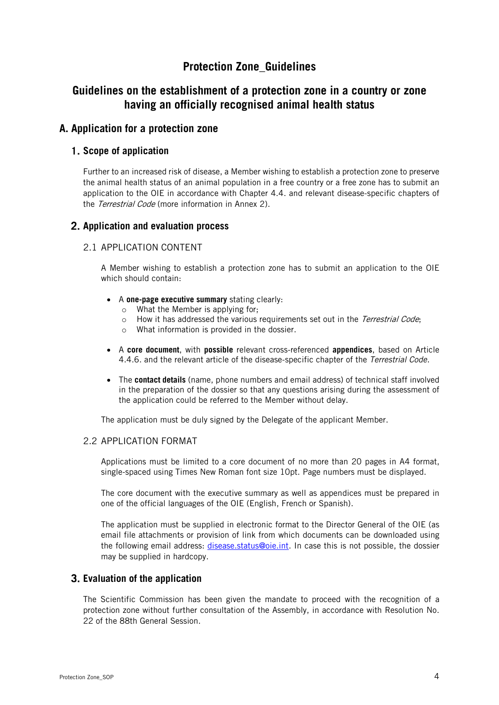# **Protection Zone\_Guidelines**

# **Guidelines on the establishment of a protection zone in a country or zone having an officially recognised animal health status**

## **A. Application for a protection zone**

### **Scope of application**

Further to an increased risk of disease, a Member wishing to establish a protection zone to preserve the animal health status of an animal population in a free country or a free zone has to submit an application to the OIE in accordance with Chapter 4.4. and relevant disease-specific chapters of the *Terrestrial Code* (more information in Annex 2).

### **Application and evaluation process**

#### 2.1 APPLICATION CONTENT

A Member wishing to establish a protection zone has to submit an application to the OIE which should contain:

- A **one-page executive summary** stating clearly:
	- o What the Member is applying for;
	- $\circ$  How it has addressed the various requirements set out in the *Terrestrial Code*;
	- o What information is provided in the dossier.
- A **core document**, with **possible** relevant cross-referenced **appendices**, based on Article 4.4.6. and the relevant article of the disease-specific chapter of the Terrestrial Code.
- The **contact details** (name, phone numbers and email address) of technical staff involved in the preparation of the dossier so that any questions arising during the assessment of the application could be referred to the Member without delay.

The application must be duly signed by the Delegate of the applicant Member.

#### 2.2 APPLICATION FORMAT

Applications must be limited to a core document of no more than 20 pages in A4 format, single-spaced using Times New Roman font size 10pt. Page numbers must be displayed.

The core document with the executive summary as well as appendices must be prepared in one of the official languages of the OIE (English, French or Spanish).

The application must be supplied in electronic format to the Director General of the OIE (as email file attachments or provision of link from which documents can be downloaded using the following email address: [disease.status@oie.int.](mailto:disease.status@oie.int) In case this is not possible, the dossier may be supplied in hardcopy.

#### **Evaluation of the application**

The Scientific Commission has been given the mandate to proceed with the recognition of a protection zone without further consultation of the Assembly, in accordance with Resolution No. 22 of the 88th General Session.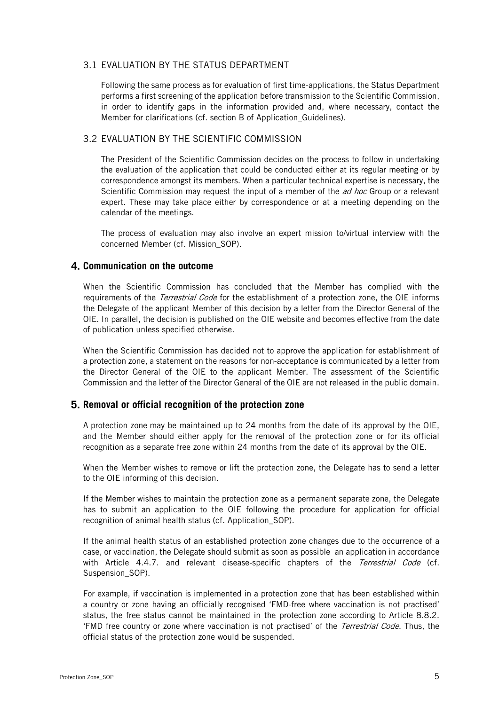#### 3.1 EVALUATION BY THE STATUS DEPARTMENT

Following the same process as for evaluation of first time-applications, the Status Department performs a first screening of the application before transmission to the Scientific Commission, in order to identify gaps in the information provided and, where necessary, contact the Member for clarifications (cf. section B of Application Guidelines).

#### 3.2 EVALUATION BY THE SCIENTIFIC COMMISSION

The President of the Scientific Commission decides on the process to follow in undertaking the evaluation of the application that could be conducted either at its regular meeting or by correspondence amongst its members. When a particular technical expertise is necessary, the Scientific Commission may request the input of a member of the *ad hoc* Group or a relevant expert. These may take place either by correspondence or at a meeting depending on the calendar of the meetings.

The process of evaluation may also involve an expert mission to/virtual interview with the concerned Member (cf. Mission\_SOP).

#### **Communication on the outcome**

When the Scientific Commission has concluded that the Member has complied with the requirements of the *Terrestrial Code* for the establishment of a protection zone, the OIE informs the Delegate of the applicant Member of this decision by a letter from the Director General of the OIE. In parallel, the decision is published on the OIE website and becomes effective from the date of publication unless specified otherwise.

When the Scientific Commission has decided not to approve the application for establishment of a protection zone, a statement on the reasons for non-acceptance is communicated by a letter from the Director General of the OIE to the applicant Member. The assessment of the Scientific Commission and the letter of the Director General of the OIE are not released in the public domain.

#### **Removal or official recognition of the protection zone**

A protection zone may be maintained up to 24 months from the date of its approval by the OIE, and the Member should either apply for the removal of the protection zone or for its official recognition as a separate free zone within 24 months from the date of its approval by the OIE.

When the Member wishes to remove or lift the protection zone, the Delegate has to send a letter to the OIE informing of this decision.

If the Member wishes to maintain the protection zone as a permanent separate zone, the Delegate has to submit an application to the OIE following the procedure for application for official recognition of animal health status (cf. Application\_SOP).

If the [animal health status](http://127.0.0.1:54914/content/1ysvQbGhPPvTidTpAAAB/chYObID/OYuPCl4/9pTCHad/YrndtbT/pfZlRuR/Eu21EA8/Dtp3eq8/en_glossaire.htm#terme_statut_zoosanitaire) of an established [protection zone](http://127.0.0.1:54914/content/1ysvQbGhPPvTidTpAAAB/chYObID/OYuPCl4/9pTCHad/YrndtbT/pfZlRuR/Eu21EA8/Dtp3eq8/en_glossaire.htm#terme_zone_tampon) changes due to the occurrence of a [case,](http://127.0.0.1:54914/content/1ysvQbGhPPvTidTpAAAB/chYObID/OYuPCl4/9pTCHad/YrndtbT/pfZlRuR/Eu21EA8/Dtp3eq8/en_glossaire.htm#terme_cas) or vaccination, the Delegate should submit as soon as possible an application in accordance with Article 4.4.7. and relevant disease-specific chapters of the [Terrestrial Code](http://127.0.0.1:54914/content/1ysvQbGhPPvTidTpAAAB/chYObID/OYuPCl4/9pTCHad/YrndtbT/pfZlRuR/Eu21EA8/Dtp3eq8/en_glossaire.htm#terme_code_terrestre) (cf. Suspension\_SOP).

For example, if vaccination is implemented in a protection zone that has been established within a country or zone having an officially recognised 'FMD-free where vaccination is not practised' status, the free status cannot be maintained in the protection zone according to Article 8.8.2. 'FMD free country or zone where vaccination is not practised' of the Terrestrial Code. Thus, the official status of the protection zone would be suspended.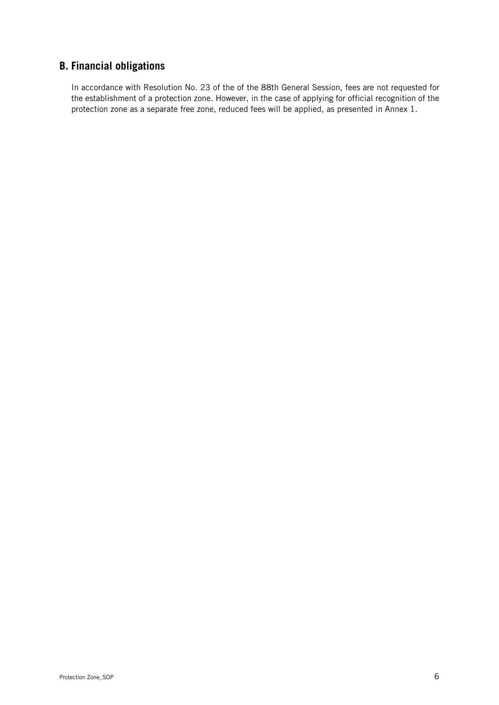# **B. Financial obligations**

In accordance with Resolution No. 23 of the of the 88th General Session, fees are not requested for the establishment of a protection zone. However, in the case of applying for official recognition of the protection zone as a separate free zone, reduced fees will be applied, as presented in Annex 1.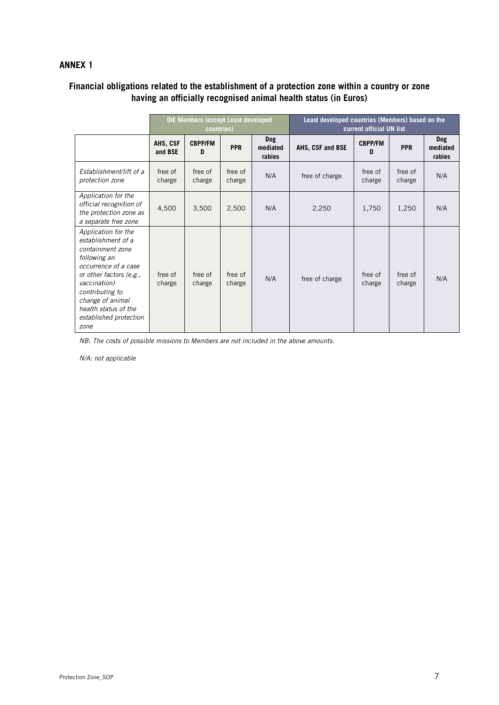### **ANNEX 1**

## **Financial obligations related to the establishment of a protection zone within a country or zone having an officially recognised animal health status (in Euros)**

|                                                                                                                                                                                                                                                   | <b>OIE Members (except Least developed</b><br>countries) |                     |                   |                           | Least developed countries (Members) based on the<br>current official UN list |                     |                   |                           |
|---------------------------------------------------------------------------------------------------------------------------------------------------------------------------------------------------------------------------------------------------|----------------------------------------------------------|---------------------|-------------------|---------------------------|------------------------------------------------------------------------------|---------------------|-------------------|---------------------------|
|                                                                                                                                                                                                                                                   | AHS, CSF<br>and BSE                                      | <b>CBPP/FM</b><br>D | <b>PPR</b>        | Dog<br>mediated<br>rabies | AHS, CSF and BSE                                                             | <b>CBPP/FM</b><br>D | <b>PPR</b>        | Dog<br>mediated<br>rabies |
| <b>Fstablishment/lift of a</b><br>protection zone                                                                                                                                                                                                 | free of<br>charge                                        | free of<br>charge   | free of<br>charge | N/A                       | free of charge                                                               | free of<br>charge   | free of<br>charge | N/A                       |
| Application for the<br>official recognition of<br>the protection zone as<br>a separate free zone                                                                                                                                                  | 4,500                                                    | 3,500               | 2,500             | N/A                       | 2,250                                                                        | 1,750               | 1,250             | N/A                       |
| Application for the<br>establishment of a<br>containment zone<br>following an<br>occurrence of a case<br>or other factors (e.g.,<br>vaccination)<br>contributing to<br>change of animal<br>health status of the<br>established protection<br>zone | free of<br>charge                                        | free of<br>charge   | free of<br>charge | N/A                       | free of charge                                                               | free of<br>charge   | free of<br>charge | N/A                       |

NB: The costs of possible missions to Members are not included in the above amounts.

N/A: not applicable